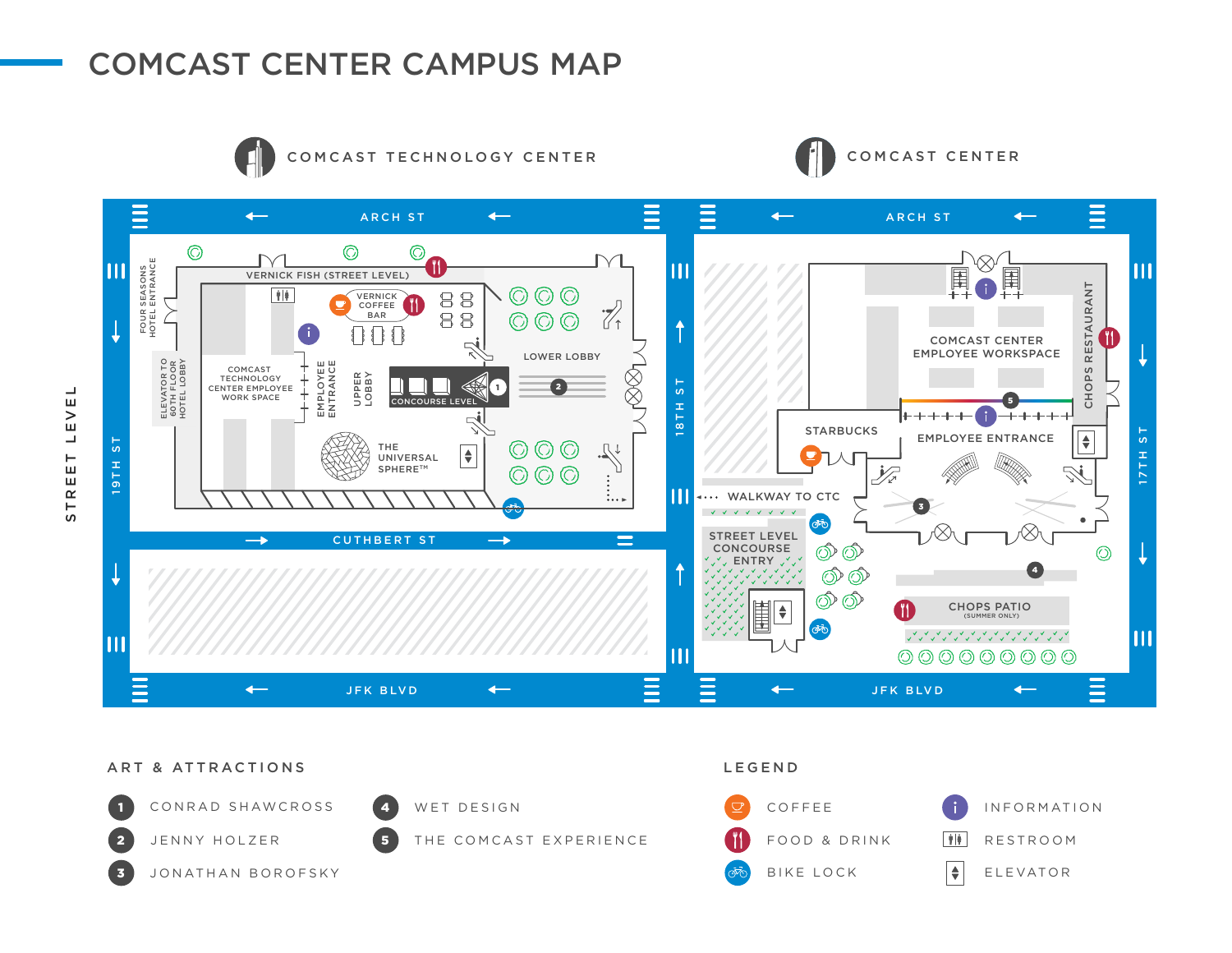# COMCAST CENTER CAMPUS MAP



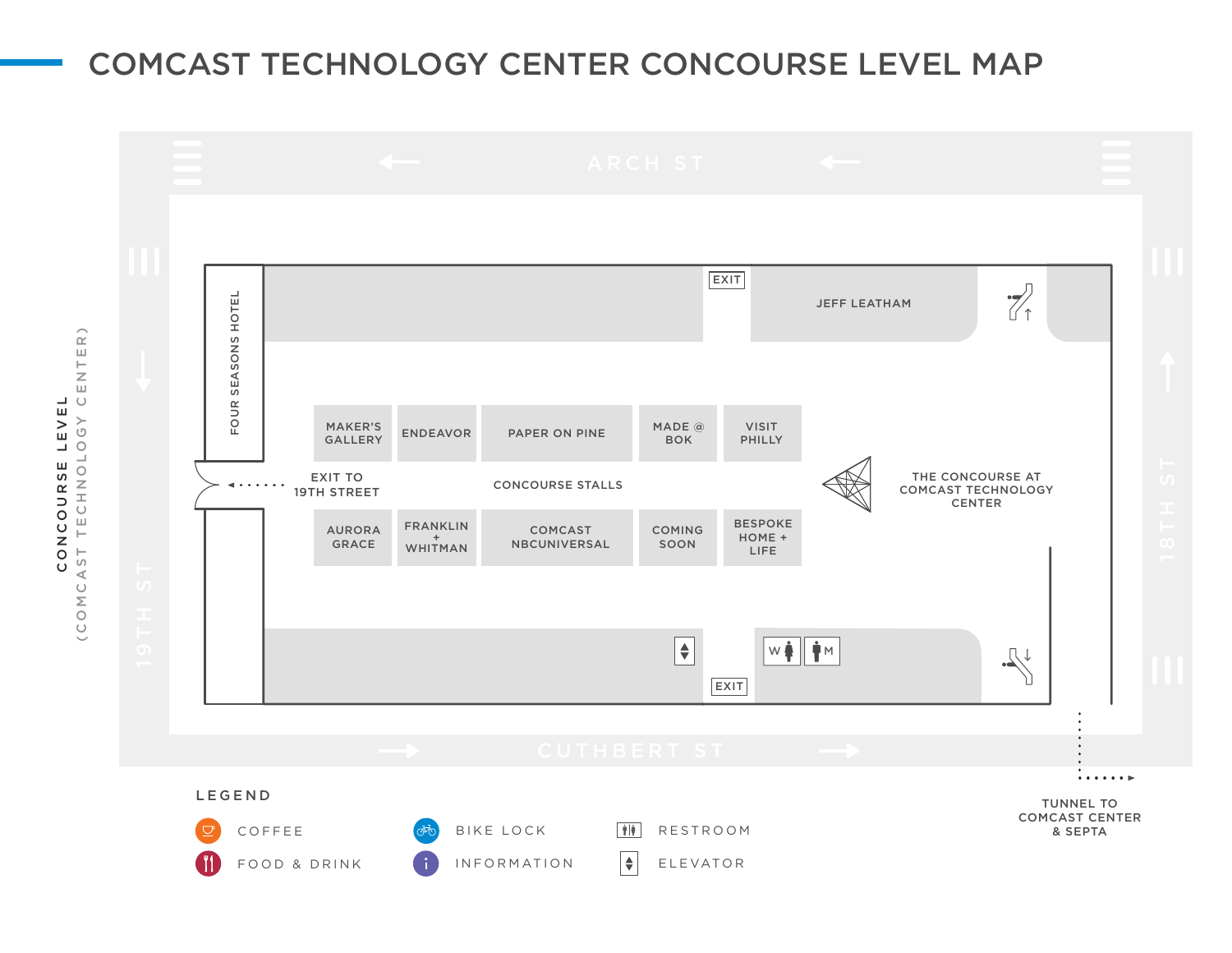## COMCAST TECHNOLOGY CENTER CONCOURSE LEVEL MAP



 $\mathsf{ER}$  ) (COMCAST TECHNOLOGY CENTER)  $\begin{array}{c}\n\vdash \\
\blacksquare\n\end{array}$  $\overline{\circ}$ LEVEL CONCOURSE LEVEL TECHNOLOGY CONCOURSE (COMCAST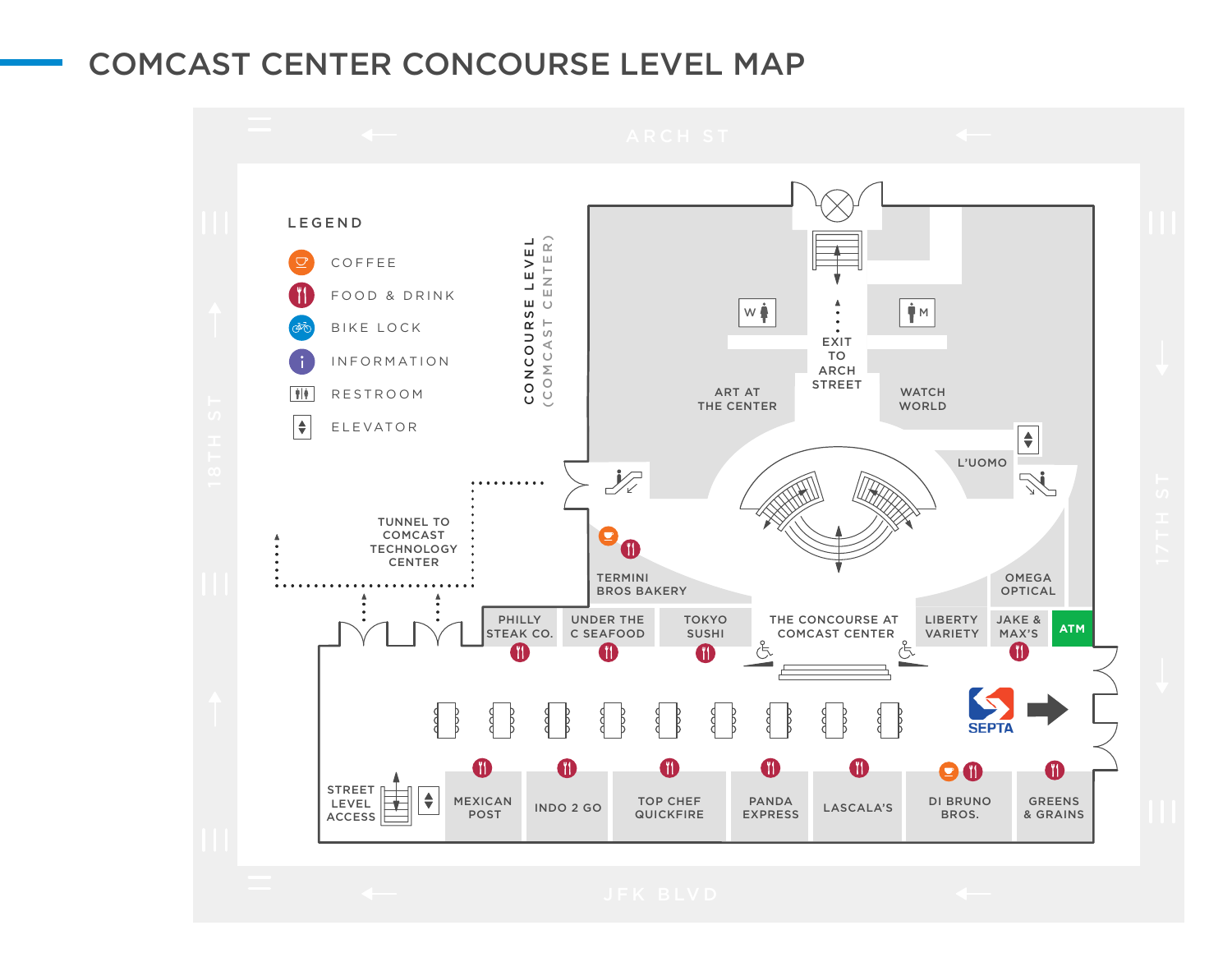## COMCAST CENTER CONCOURSE LEVEL MAP